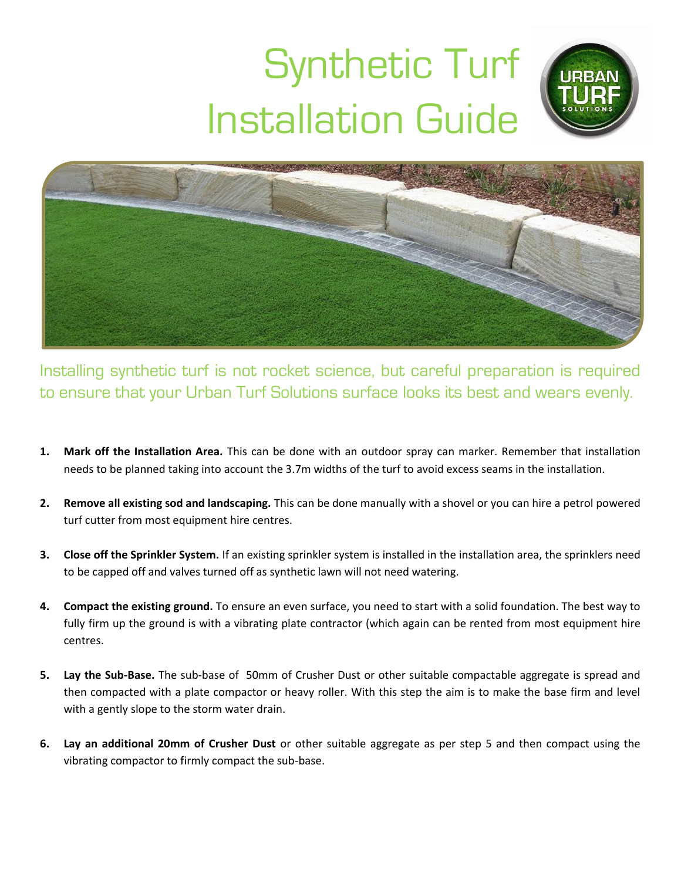## Synthetic Turf Installation Guide



Installing synthetic turf is not rocket science, but careful preparation is required to ensure that your Urban Turf Solutions surface looks its best and wears evenly.

- **1. Mark off the Installation Area.** This can be done with an outdoor spray can marker. Remember that installation needs to be planned taking into account the 3.7m widths of the turf to avoid excess seams in the installation.
- **2. Remove all existing sod and landscaping.** This can be done manually with a shovel or you can hire a petrol powered turf cutter from most equipment hire centres.
- **3. Close off the Sprinkler System.** If an existing sprinkler system is installed in the installation area, the sprinklers need to be capped off and valves turned off as synthetic lawn will not need watering.
- **4. Compact the existing ground.** To ensure an even surface, you need to start with a solid foundation. The best way to fully firm up the ground is with a vibrating plate contractor (which again can be rented from most equipment hire centres.
- **5. Lay the Sub-Base.** The sub-base of 50mm of Crusher Dust or other suitable compactable aggregate is spread and then compacted with a plate compactor or heavy roller. With this step the aim is to make the base firm and level with a gently slope to the storm water drain.
- **6. Lay an additional 20mm of Crusher Dust** or other suitable aggregate as per step 5 and then compact using the vibrating compactor to firmly compact the sub-base.